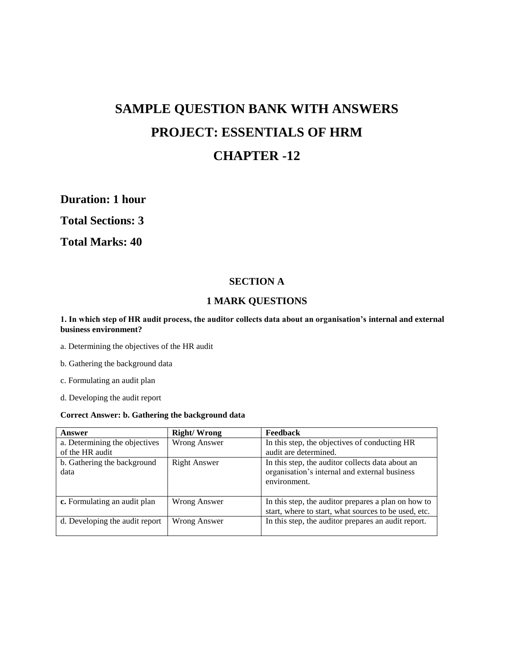# **SAMPLE QUESTION BANK WITH ANSWERS PROJECT: ESSENTIALS OF HRM CHAPTER -12**

**Duration: 1 hour** 

**Total Sections: 3** 

**Total Marks: 40**

# **SECTION A**

# **1 MARK QUESTIONS**

## **1. In which step of HR audit process, the auditor collects data about an organisation's internal and external business environment?**

a. Determining the objectives of the HR audit

b. Gathering the background data

c. Formulating an audit plan

d. Developing the audit report

## **Correct Answer: b. Gathering the background data**

| <b>Answer</b>                       | <b>Right/Wrong</b> | <b>Feedback</b>                                                                                                   |
|-------------------------------------|--------------------|-------------------------------------------------------------------------------------------------------------------|
| a. Determining the objectives       | Wrong Answer       | In this step, the objectives of conducting HR                                                                     |
| of the HR audit                     |                    | audit are determined.                                                                                             |
| b. Gathering the background<br>data | Right Answer       | In this step, the auditor collects data about an<br>organisation's internal and external business<br>environment. |
| c. Formulating an audit plan        | Wrong Answer       | In this step, the auditor prepares a plan on how to<br>start, where to start, what sources to be used, etc.       |
| d. Developing the audit report      | Wrong Answer       | In this step, the auditor prepares an audit report.                                                               |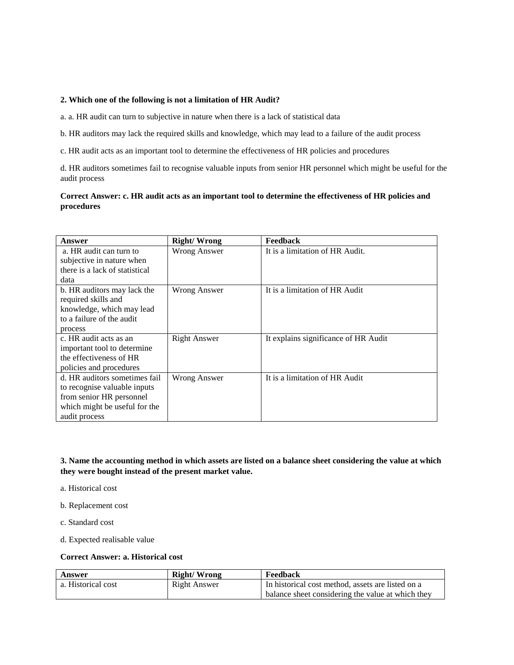#### **2. Which one of the following is not a limitation of HR Audit?**

a. a. HR audit can turn to subjective in nature when there is a lack of statistical data

b. HR auditors may lack the required skills and knowledge, which may lead to a failure of the audit process

c. HR audit acts as an important tool to determine the effectiveness of HR policies and procedures

d. HR auditors sometimes fail to recognise valuable inputs from senior HR personnel which might be useful for the audit process

## **Correct Answer: c. HR audit acts as an important tool to determine the effectiveness of HR policies and procedures**

| Answer                         | <b>Right/Wrong</b>  | Feedback                             |
|--------------------------------|---------------------|--------------------------------------|
| a. HR audit can turn to        | <b>Wrong Answer</b> | It is a limitation of HR Audit.      |
| subjective in nature when      |                     |                                      |
| there is a lack of statistical |                     |                                      |
| data                           |                     |                                      |
| b. HR auditors may lack the    | Wrong Answer        | It is a limitation of HR Audit       |
| required skills and            |                     |                                      |
| knowledge, which may lead      |                     |                                      |
| to a failure of the audit      |                     |                                      |
| process                        |                     |                                      |
| c. HR audit acts as an         | <b>Right Answer</b> | It explains significance of HR Audit |
| important tool to determine    |                     |                                      |
| the effectiveness of HR        |                     |                                      |
| policies and procedures        |                     |                                      |
| d. HR auditors sometimes fail  | Wrong Answer        | It is a limitation of HR Audit       |
| to recognise valuable inputs   |                     |                                      |
| from senior HR personnel       |                     |                                      |
| which might be useful for the  |                     |                                      |
| audit process                  |                     |                                      |

**3. Name the accounting method in which assets are listed on a balance sheet considering the value at which they were bought instead of the present market value.**

a. Historical cost

b. Replacement cost

c. Standard cost

d. Expected realisable value

## **Correct Answer: a. Historical cost**

| Answer             | Right/Wrong  | Feedback                                          |
|--------------------|--------------|---------------------------------------------------|
| a. Historical cost | Right Answer | In historical cost method, assets are listed on a |
|                    |              | balance sheet considering the value at which they |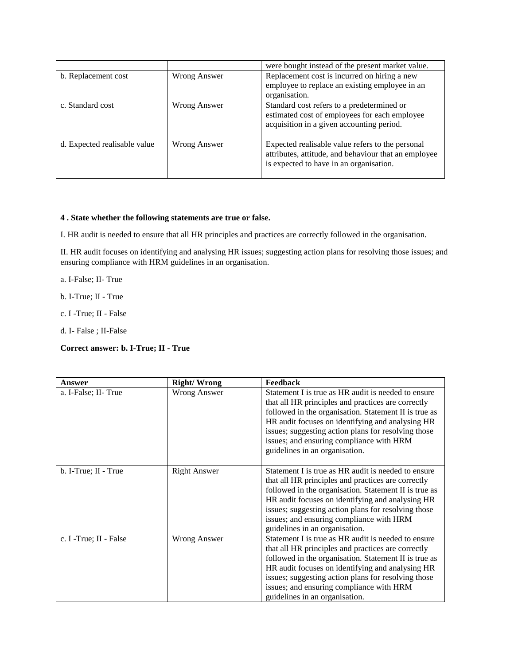|                              |              | were bought instead of the present market value.                                                                                                    |
|------------------------------|--------------|-----------------------------------------------------------------------------------------------------------------------------------------------------|
| b. Replacement cost          | Wrong Answer | Replacement cost is incurred on hiring a new<br>employee to replace an existing employee in an<br>organisation.                                     |
| c. Standard cost             | Wrong Answer | Standard cost refers to a predetermined or<br>estimated cost of employees for each employee<br>acquisition in a given accounting period.            |
| d. Expected realisable value | Wrong Answer | Expected realisable value refers to the personal<br>attributes, attitude, and behaviour that an employee<br>is expected to have in an organisation. |

## **4 . State whether the following statements are true or false.**

I. HR audit is needed to ensure that all HR principles and practices are correctly followed in the organisation.

II. HR audit focuses on identifying and analysing HR issues; suggesting action plans for resolving those issues; and ensuring compliance with HRM guidelines in an organisation.

a. I-False; II- True

b. I-True; II - True

c. I -True; II - False

d. I- False ; II-False

## **Correct answer: b. I-True; II - True**

| Answer                 | <b>Right/Wrong</b>  | Feedback                                                                                                                                                                                                                                                                                                                                                    |
|------------------------|---------------------|-------------------------------------------------------------------------------------------------------------------------------------------------------------------------------------------------------------------------------------------------------------------------------------------------------------------------------------------------------------|
| a. I-False; II-True    | <b>Wrong Answer</b> | Statement I is true as HR audit is needed to ensure<br>that all HR principles and practices are correctly<br>followed in the organisation. Statement II is true as<br>HR audit focuses on identifying and analysing HR<br>issues; suggesting action plans for resolving those<br>issues; and ensuring compliance with HRM<br>guidelines in an organisation. |
| b. I-True; II - True   | <b>Right Answer</b> | Statement I is true as HR audit is needed to ensure<br>that all HR principles and practices are correctly<br>followed in the organisation. Statement II is true as<br>HR audit focuses on identifying and analysing HR<br>issues; suggesting action plans for resolving those<br>issues; and ensuring compliance with HRM<br>guidelines in an organisation. |
| c. I -True; II - False | Wrong Answer        | Statement I is true as HR audit is needed to ensure<br>that all HR principles and practices are correctly<br>followed in the organisation. Statement II is true as<br>HR audit focuses on identifying and analysing HR<br>issues; suggesting action plans for resolving those<br>issues; and ensuring compliance with HRM<br>guidelines in an organisation. |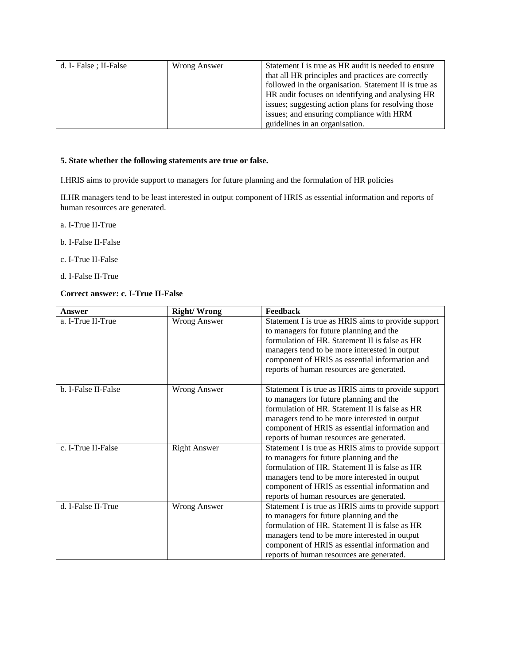| d. I- False ; II-False | Wrong Answer | Statement I is true as HR audit is needed to ensure   |
|------------------------|--------------|-------------------------------------------------------|
|                        |              | that all HR principles and practices are correctly    |
|                        |              | followed in the organisation. Statement II is true as |
|                        |              | HR audit focuses on identifying and analysing HR      |
|                        |              | issues; suggesting action plans for resolving those   |
|                        |              | issues; and ensuring compliance with HRM              |
|                        |              | guidelines in an organisation.                        |

## **5. State whether the following statements are true or false.**

I.HRIS aims to provide support to managers for future planning and the formulation of HR policies

II.HR managers tend to be least interested in output component of HRIS as essential information and reports of human resources are generated.

- a. I-True II-True
- b. I-False II-False
- c. I-True II-False
- d. I-False II-True

# **Correct answer: c. I-True II-False**

| Answer              | <b>Right/Wrong</b>  | Feedback                                                                                                                                                                                                                                                                                         |
|---------------------|---------------------|--------------------------------------------------------------------------------------------------------------------------------------------------------------------------------------------------------------------------------------------------------------------------------------------------|
| a. I-True II-True   | <b>Wrong Answer</b> | Statement I is true as HRIS aims to provide support<br>to managers for future planning and the<br>formulation of HR. Statement II is false as HR<br>managers tend to be more interested in output<br>component of HRIS as essential information and<br>reports of human resources are generated. |
| b. I-False II-False | <b>Wrong Answer</b> | Statement I is true as HRIS aims to provide support<br>to managers for future planning and the<br>formulation of HR. Statement II is false as HR<br>managers tend to be more interested in output<br>component of HRIS as essential information and<br>reports of human resources are generated. |
| c. I-True II-False  | <b>Right Answer</b> | Statement I is true as HRIS aims to provide support<br>to managers for future planning and the<br>formulation of HR. Statement II is false as HR<br>managers tend to be more interested in output<br>component of HRIS as essential information and<br>reports of human resources are generated. |
| d. I-False II-True  | <b>Wrong Answer</b> | Statement I is true as HRIS aims to provide support<br>to managers for future planning and the<br>formulation of HR. Statement II is false as HR<br>managers tend to be more interested in output<br>component of HRIS as essential information and<br>reports of human resources are generated. |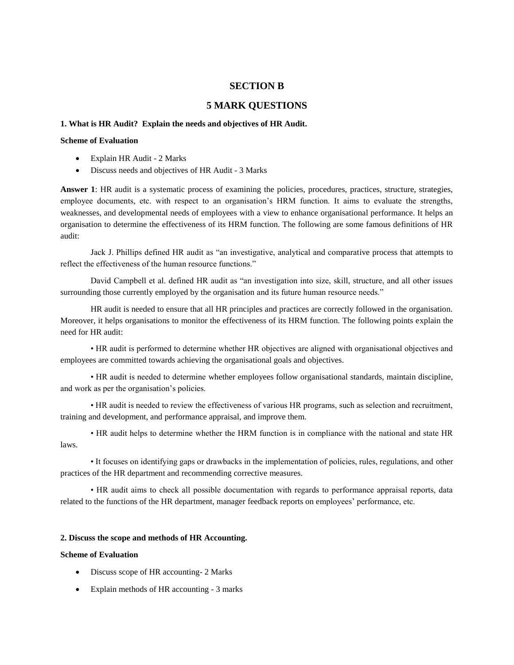## **SECTION B**

## **5 MARK QUESTIONS**

#### **1. What is HR Audit? Explain the needs and objectives of HR Audit.**

#### **Scheme of Evaluation**

- Explain HR Audit 2 Marks
- Discuss needs and objectives of HR Audit 3 Marks

**Answer 1**: HR audit is a systematic process of examining the policies, procedures, practices, structure, strategies, employee documents, etc. with respect to an organisation"s HRM function. It aims to evaluate the strengths, weaknesses, and developmental needs of employees with a view to enhance organisational performance. It helps an organisation to determine the effectiveness of its HRM function. The following are some famous definitions of HR audit:

Jack J. Phillips defined HR audit as "an investigative, analytical and comparative process that attempts to reflect the effectiveness of the human resource functions."

David Campbell et al. defined HR audit as "an investigation into size, skill, structure, and all other issues surrounding those currently employed by the organisation and its future human resource needs."

HR audit is needed to ensure that all HR principles and practices are correctly followed in the organisation. Moreover, it helps organisations to monitor the effectiveness of its HRM function. The following points explain the need for HR audit:

• HR audit is performed to determine whether HR objectives are aligned with organisational objectives and employees are committed towards achieving the organisational goals and objectives.

• HR audit is needed to determine whether employees follow organisational standards, maintain discipline, and work as per the organisation"s policies.

• HR audit is needed to review the effectiveness of various HR programs, such as selection and recruitment, training and development, and performance appraisal, and improve them.

• HR audit helps to determine whether the HRM function is in compliance with the national and state HR laws.

• It focuses on identifying gaps or drawbacks in the implementation of policies, rules, regulations, and other practices of the HR department and recommending corrective measures.

• HR audit aims to check all possible documentation with regards to performance appraisal reports, data related to the functions of the HR department, manager feedback reports on employees' performance, etc.

#### **2. Discuss the scope and methods of HR Accounting.**

## **Scheme of Evaluation**

- Discuss scope of HR accounting- 2 Marks
- Explain methods of HR accounting 3 marks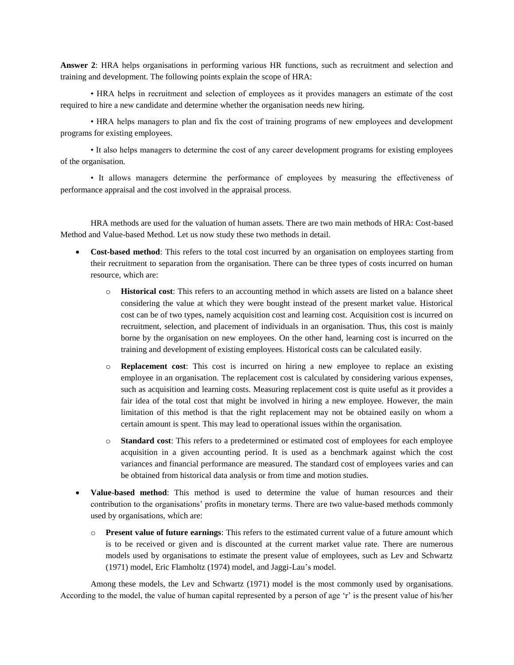**Answer 2**: HRA helps organisations in performing various HR functions, such as recruitment and selection and training and development. The following points explain the scope of HRA:

• HRA helps in recruitment and selection of employees as it provides managers an estimate of the cost required to hire a new candidate and determine whether the organisation needs new hiring.

• HRA helps managers to plan and fix the cost of training programs of new employees and development programs for existing employees.

• It also helps managers to determine the cost of any career development programs for existing employees of the organisation.

• It allows managers determine the performance of employees by measuring the effectiveness of performance appraisal and the cost involved in the appraisal process.

HRA methods are used for the valuation of human assets. There are two main methods of HRA: Cost-based Method and Value-based Method. Let us now study these two methods in detail.

- **Cost-based method**: This refers to the total cost incurred by an organisation on employees starting from their recruitment to separation from the organisation. There can be three types of costs incurred on human resource, which are:
	- o **Historical cost**: This refers to an accounting method in which assets are listed on a balance sheet considering the value at which they were bought instead of the present market value. Historical cost can be of two types, namely acquisition cost and learning cost. Acquisition cost is incurred on recruitment, selection, and placement of individuals in an organisation. Thus, this cost is mainly borne by the organisation on new employees. On the other hand, learning cost is incurred on the training and development of existing employees. Historical costs can be calculated easily.
	- o **Replacement cost**: This cost is incurred on hiring a new employee to replace an existing employee in an organisation. The replacement cost is calculated by considering various expenses, such as acquisition and learning costs. Measuring replacement cost is quite useful as it provides a fair idea of the total cost that might be involved in hiring a new employee. However, the main limitation of this method is that the right replacement may not be obtained easily on whom a certain amount is spent. This may lead to operational issues within the organisation.
	- o **Standard cost**: This refers to a predetermined or estimated cost of employees for each employee acquisition in a given accounting period. It is used as a benchmark against which the cost variances and financial performance are measured. The standard cost of employees varies and can be obtained from historical data analysis or from time and motion studies.
- **Value-based method**: This method is used to determine the value of human resources and their contribution to the organisations" profits in monetary terms. There are two value-based methods commonly used by organisations, which are:
	- o **Present value of future earnings**: This refers to the estimated current value of a future amount which is to be received or given and is discounted at the current market value rate. There are numerous models used by organisations to estimate the present value of employees, such as Lev and Schwartz (1971) model, Eric Flamholtz (1974) model, and Jaggi-Lau"s model.

Among these models, the Lev and Schwartz (1971) model is the most commonly used by organisations. According to the model, the value of human capital represented by a person of age "r" is the present value of his/her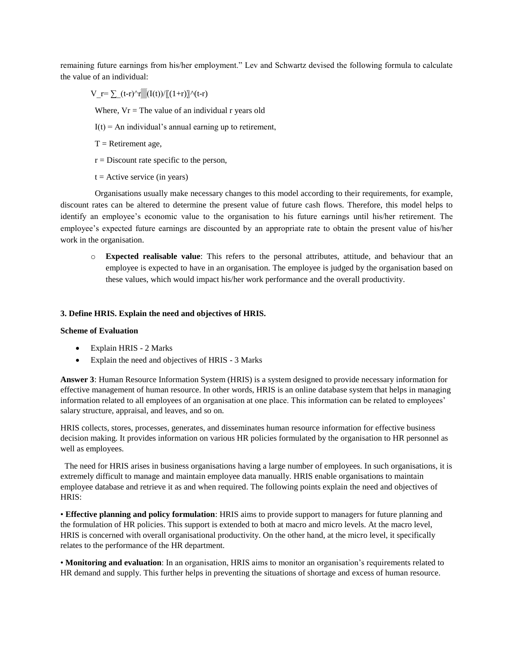remaining future earnings from his/her employment." Lev and Schwartz devised the following formula to calculate the value of an individual:

 $V_r=\sum_{r=0}^{\infty} (t-r)^r\sin((1+r))^r(t-r)$ 

Where,  $Vr = The value of an individual r years old$ 

 $I(t) = An individual's annual earning up to retirement,$ 

 $T =$  Retirement age,

 $r =$  Discount rate specific to the person,

 $t =$  Active service (in years)

 Organisations usually make necessary changes to this model according to their requirements, for example, discount rates can be altered to determine the present value of future cash flows. Therefore, this model helps to identify an employee's economic value to the organisation to his future earnings until his/her retirement. The employee's expected future earnings are discounted by an appropriate rate to obtain the present value of his/her work in the organisation.

o **Expected realisable value**: This refers to the personal attributes, attitude, and behaviour that an employee is expected to have in an organisation. The employee is judged by the organisation based on these values, which would impact his/her work performance and the overall productivity.

#### **3. Define HRIS. Explain the need and objectives of HRIS.**

#### **Scheme of Evaluation**

- Explain HRIS 2 Marks
- Explain the need and objectives of HRIS 3 Marks

**Answer 3**: Human Resource Information System (HRIS) is a system designed to provide necessary information for effective management of human resource. In other words, HRIS is an online database system that helps in managing information related to all employees of an organisation at one place. This information can be related to employees' salary structure, appraisal, and leaves, and so on.

HRIS collects, stores, processes, generates, and disseminates human resource information for effective business decision making. It provides information on various HR policies formulated by the organisation to HR personnel as well as employees.

 The need for HRIS arises in business organisations having a large number of employees. In such organisations, it is extremely difficult to manage and maintain employee data manually. HRIS enable organisations to maintain employee database and retrieve it as and when required. The following points explain the need and objectives of HRIS:

• **Effective planning and policy formulation**: HRIS aims to provide support to managers for future planning and the formulation of HR policies. This support is extended to both at macro and micro levels. At the macro level, HRIS is concerned with overall organisational productivity. On the other hand, at the micro level, it specifically relates to the performance of the HR department.

• **Monitoring and evaluation**: In an organisation, HRIS aims to monitor an organisation"s requirements related to HR demand and supply. This further helps in preventing the situations of shortage and excess of human resource.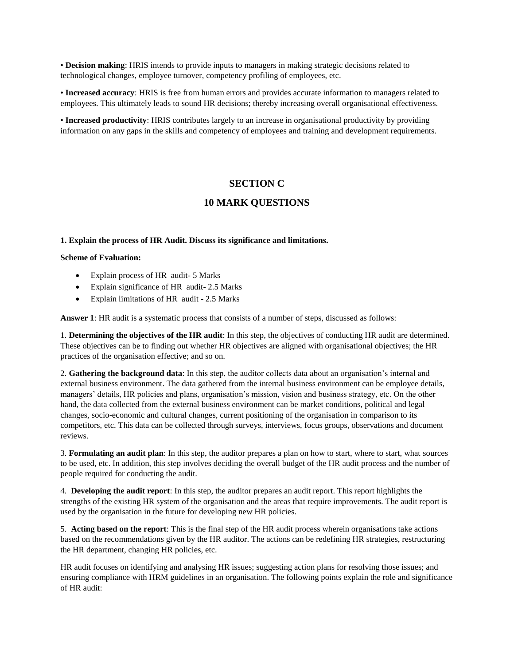• **Decision making**: HRIS intends to provide inputs to managers in making strategic decisions related to technological changes, employee turnover, competency profiling of employees, etc.

• **Increased accuracy**: HRIS is free from human errors and provides accurate information to managers related to employees. This ultimately leads to sound HR decisions; thereby increasing overall organisational effectiveness.

• **Increased productivity**: HRIS contributes largely to an increase in organisational productivity by providing information on any gaps in the skills and competency of employees and training and development requirements.

# **SECTION C**

## **10 MARK QUESTIONS**

## **1. Explain the process of HR Audit. Discuss its significance and limitations.**

#### **Scheme of Evaluation:**

- Explain process of HR audit- 5 Marks
- Explain significance of HR audit- 2.5 Marks
- Explain limitations of HR audit 2.5 Marks

**Answer 1**: HR audit is a systematic process that consists of a number of steps, discussed as follows:

1. **Determining the objectives of the HR audit**: In this step, the objectives of conducting HR audit are determined. These objectives can be to finding out whether HR objectives are aligned with organisational objectives; the HR practices of the organisation effective; and so on.

2. **Gathering the background data**: In this step, the auditor collects data about an organisation"s internal and external business environment. The data gathered from the internal business environment can be employee details, managers" details, HR policies and plans, organisation"s mission, vision and business strategy, etc. On the other hand, the data collected from the external business environment can be market conditions, political and legal changes, socio-economic and cultural changes, current positioning of the organisation in comparison to its competitors, etc. This data can be collected through surveys, interviews, focus groups, observations and document reviews.

3. **Formulating an audit plan**: In this step, the auditor prepares a plan on how to start, where to start, what sources to be used, etc. In addition, this step involves deciding the overall budget of the HR audit process and the number of people required for conducting the audit.

4. **Developing the audit report**: In this step, the auditor prepares an audit report. This report highlights the strengths of the existing HR system of the organisation and the areas that require improvements. The audit report is used by the organisation in the future for developing new HR policies.

5. **Acting based on the report**: This is the final step of the HR audit process wherein organisations take actions based on the recommendations given by the HR auditor. The actions can be redefining HR strategies, restructuring the HR department, changing HR policies, etc.

HR audit focuses on identifying and analysing HR issues; suggesting action plans for resolving those issues; and ensuring compliance with HRM guidelines in an organisation. The following points explain the role and significance of HR audit: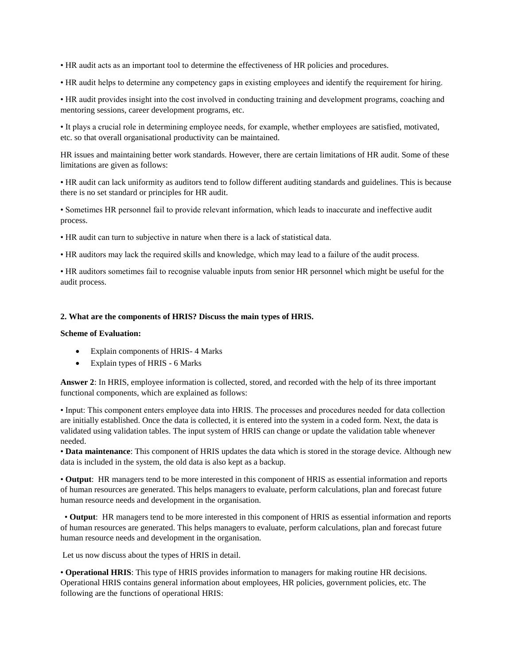• HR audit acts as an important tool to determine the effectiveness of HR policies and procedures.

• HR audit helps to determine any competency gaps in existing employees and identify the requirement for hiring.

• HR audit provides insight into the cost involved in conducting training and development programs, coaching and mentoring sessions, career development programs, etc.

• It plays a crucial role in determining employee needs, for example, whether employees are satisfied, motivated, etc. so that overall organisational productivity can be maintained.

HR issues and maintaining better work standards. However, there are certain limitations of HR audit. Some of these limitations are given as follows:

• HR audit can lack uniformity as auditors tend to follow different auditing standards and guidelines. This is because there is no set standard or principles for HR audit.

• Sometimes HR personnel fail to provide relevant information, which leads to inaccurate and ineffective audit process.

• HR audit can turn to subjective in nature when there is a lack of statistical data.

• HR auditors may lack the required skills and knowledge, which may lead to a failure of the audit process.

• HR auditors sometimes fail to recognise valuable inputs from senior HR personnel which might be useful for the audit process.

#### **2. What are the components of HRIS? Discuss the main types of HRIS.**

#### **Scheme of Evaluation:**

- Explain components of HRIS- 4 Marks
- Explain types of HRIS 6 Marks

**Answer 2**: In HRIS, employee information is collected, stored, and recorded with the help of its three important functional components, which are explained as follows:

• Input: This component enters employee data into HRIS. The processes and procedures needed for data collection are initially established. Once the data is collected, it is entered into the system in a coded form. Next, the data is validated using validation tables. The input system of HRIS can change or update the validation table whenever needed.

• **Data maintenance**: This component of HRIS updates the data which is stored in the storage device. Although new data is included in the system, the old data is also kept as a backup.

• **Output**: HR managers tend to be more interested in this component of HRIS as essential information and reports of human resources are generated. This helps managers to evaluate, perform calculations, plan and forecast future human resource needs and development in the organisation.

 • **Output**: HR managers tend to be more interested in this component of HRIS as essential information and reports of human resources are generated. This helps managers to evaluate, perform calculations, plan and forecast future human resource needs and development in the organisation.

Let us now discuss about the types of HRIS in detail.

• **Operational HRIS**: This type of HRIS provides information to managers for making routine HR decisions. Operational HRIS contains general information about employees, HR policies, government policies, etc. The following are the functions of operational HRIS: